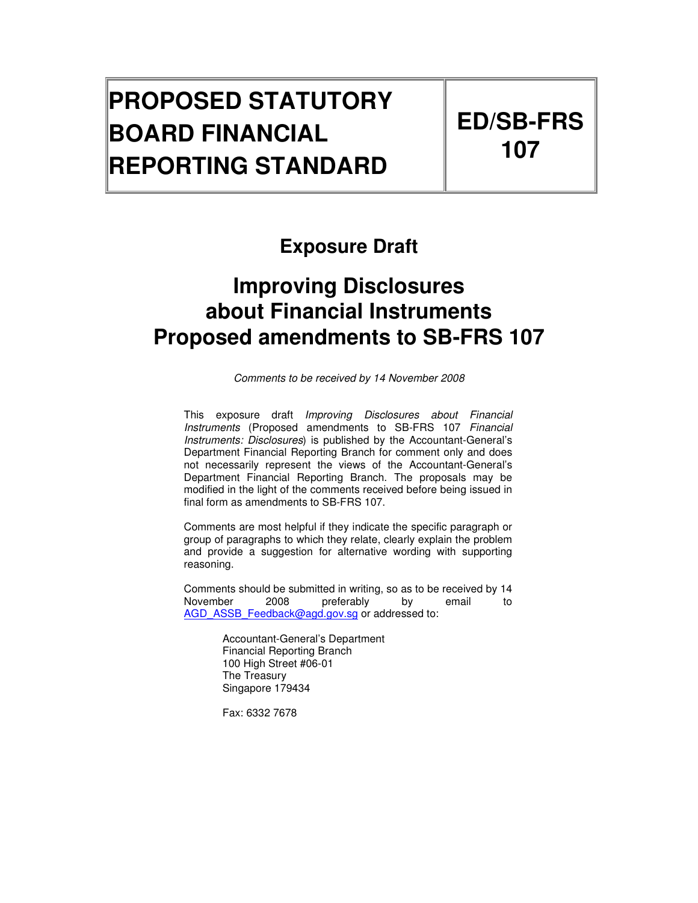# **PROPOSED STATUTORY BOARD FINANCIAL REPORTING STANDARD**

# **Exposure Draft**

# **Improving Disclosures about Financial Instruments Proposed amendments to SB-FRS 107**

Comments to be received by 14 November 2008

This exposure draft Improving Disclosures about Financial Instruments (Proposed amendments to SB-FRS 107 Financial Instruments: Disclosures) is published by the Accountant-General's Department Financial Reporting Branch for comment only and does not necessarily represent the views of the Accountant-General's Department Financial Reporting Branch. The proposals may be modified in the light of the comments received before being issued in final form as amendments to SB-FRS 107.

Comments are most helpful if they indicate the specific paragraph or group of paragraphs to which they relate, clearly explain the problem and provide a suggestion for alternative wording with supporting reasoning.

Comments should be submitted in writing, so as to be received by 14 November 2008 preferably by email to AGD\_ASSB\_Feedback@agd.gov.sg or addressed to:

> Accountant-General's Department Financial Reporting Branch 100 High Street #06-01 The Treasury Singapore 179434

Fax: 6332 7678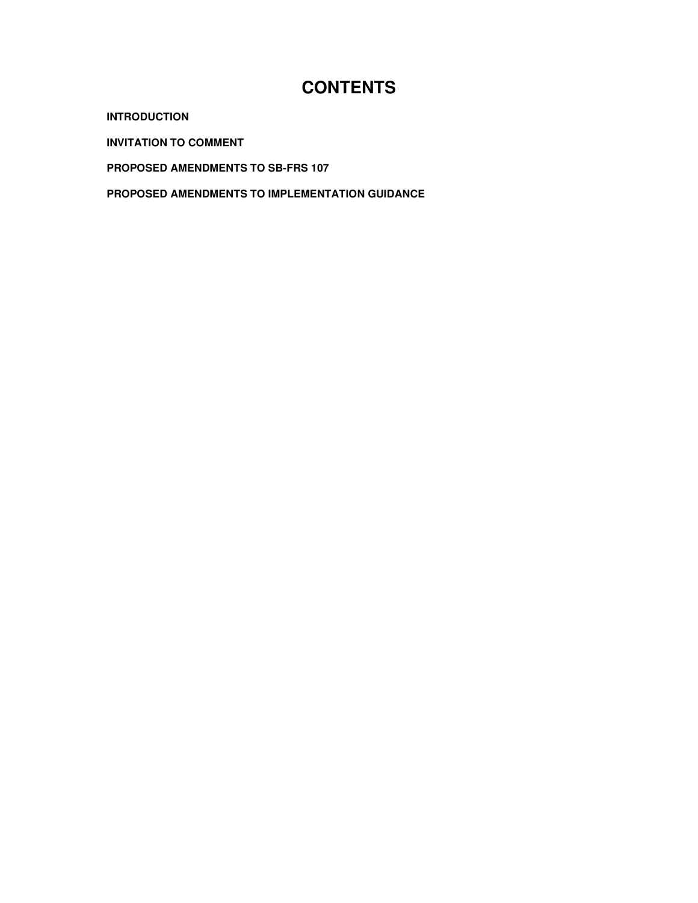# **CONTENTS**

**INTRODUCTION** 

**INVITATION TO COMMENT** 

**PROPOSED AMENDMENTS TO SB-FRS 107** 

**PROPOSED AMENDMENTS TO IMPLEMENTATION GUIDANCE**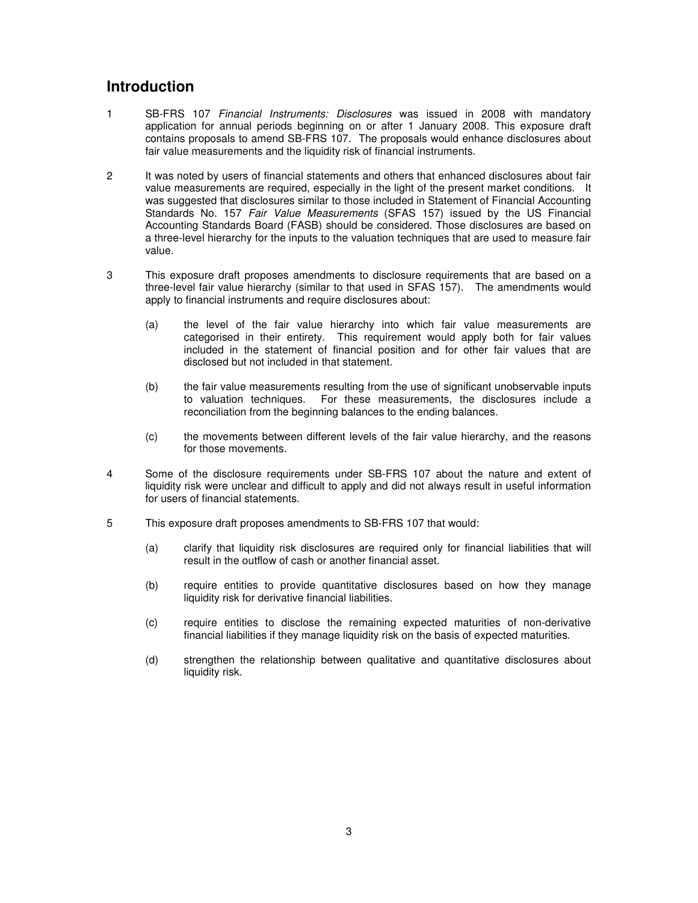# **Introduction**

- 1 SB-FRS 107 Financial Instruments: Disclosures was issued in 2008 with mandatory application for annual periods beginning on or after 1 January 2008. This exposure draft contains proposals to amend SB-FRS 107. The proposals would enhance disclosures about fair value measurements and the liquidity risk of financial instruments.
- 2 It was noted by users of financial statements and others that enhanced disclosures about fair value measurements are required, especially in the light of the present market conditions. It was suggested that disclosures similar to those included in Statement of Financial Accounting Standards No. 157 Fair Value Measurements (SFAS 157) issued by the US Financial Accounting Standards Board (FASB) should be considered. Those disclosures are based on a three-level hierarchy for the inputs to the valuation techniques that are used to measure fair value.
- 3 This exposure draft proposes amendments to disclosure requirements that are based on a three-level fair value hierarchy (similar to that used in SFAS 157). The amendments would apply to financial instruments and require disclosures about:
	- (a) the level of the fair value hierarchy into which fair value measurements are categorised in their entirety. This requirement would apply both for fair values included in the statement of financial position and for other fair values that are disclosed but not included in that statement.
	- (b) the fair value measurements resulting from the use of significant unobservable inputs to valuation techniques. For these measurements, the disclosures include a reconciliation from the beginning balances to the ending balances.
	- (c) the movements between different levels of the fair value hierarchy, and the reasons for those movements.
- 4 Some of the disclosure requirements under SB-FRS 107 about the nature and extent of liquidity risk were unclear and difficult to apply and did not always result in useful information for users of financial statements.
- 5 This exposure draft proposes amendments to SB-FRS 107 that would:
	- (a) clarify that liquidity risk disclosures are required only for financial liabilities that will result in the outflow of cash or another financial asset.
	- (b) require entities to provide quantitative disclosures based on how they manage liquidity risk for derivative financial liabilities.
	- (c) require entities to disclose the remaining expected maturities of non-derivative financial liabilities if they manage liquidity risk on the basis of expected maturities.
	- (d) strengthen the relationship between qualitative and quantitative disclosures about liquidity risk.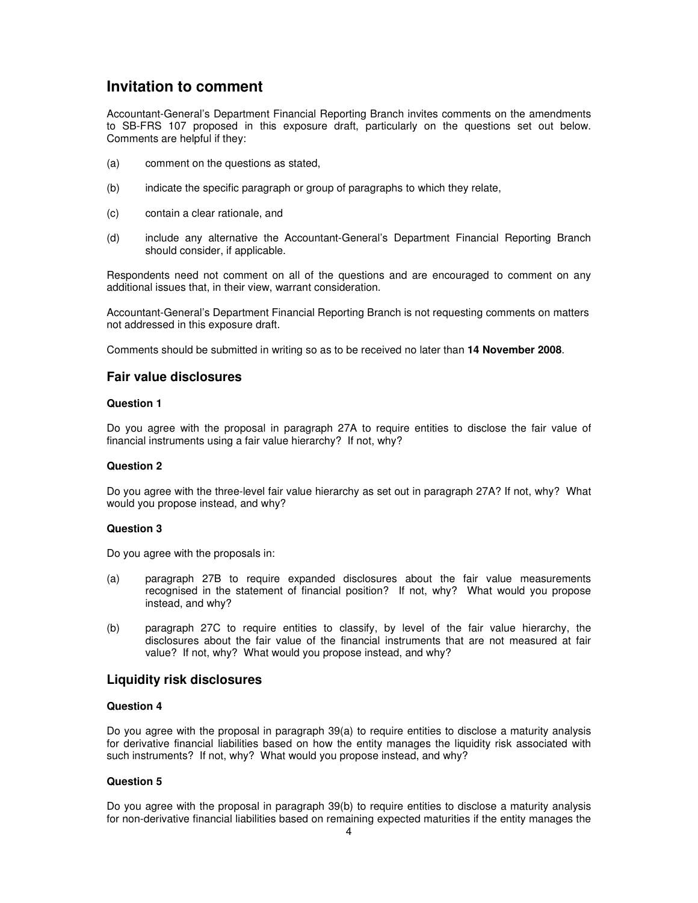# **Invitation to comment**

Accountant-General's Department Financial Reporting Branch invites comments on the amendments to SB-FRS 107 proposed in this exposure draft, particularly on the questions set out below. Comments are helpful if they:

- (a) comment on the questions as stated,
- (b) indicate the specific paragraph or group of paragraphs to which they relate,
- (c) contain a clear rationale, and
- (d) include any alternative the Accountant-General's Department Financial Reporting Branch should consider, if applicable.

Respondents need not comment on all of the questions and are encouraged to comment on any additional issues that, in their view, warrant consideration.

Accountant-General's Department Financial Reporting Branch is not requesting comments on matters not addressed in this exposure draft.

Comments should be submitted in writing so as to be received no later than **14 November 2008**.

## **Fair value disclosures**

#### **Question 1**

Do you agree with the proposal in paragraph 27A to require entities to disclose the fair value of financial instruments using a fair value hierarchy? If not, why?

#### **Question 2**

Do you agree with the three-level fair value hierarchy as set out in paragraph 27A? If not, why? What would you propose instead, and why?

#### **Question 3**

Do you agree with the proposals in:

- (a) paragraph 27B to require expanded disclosures about the fair value measurements recognised in the statement of financial position? If not, why? What would you propose instead, and why?
- (b) paragraph 27C to require entities to classify, by level of the fair value hierarchy, the disclosures about the fair value of the financial instruments that are not measured at fair value? If not, why? What would you propose instead, and why?

#### **Liquidity risk disclosures**

## **Question 4**

Do you agree with the proposal in paragraph 39(a) to require entities to disclose a maturity analysis for derivative financial liabilities based on how the entity manages the liquidity risk associated with such instruments? If not, why? What would you propose instead, and why?

### **Question 5**

Do you agree with the proposal in paragraph 39(b) to require entities to disclose a maturity analysis for non-derivative financial liabilities based on remaining expected maturities if the entity manages the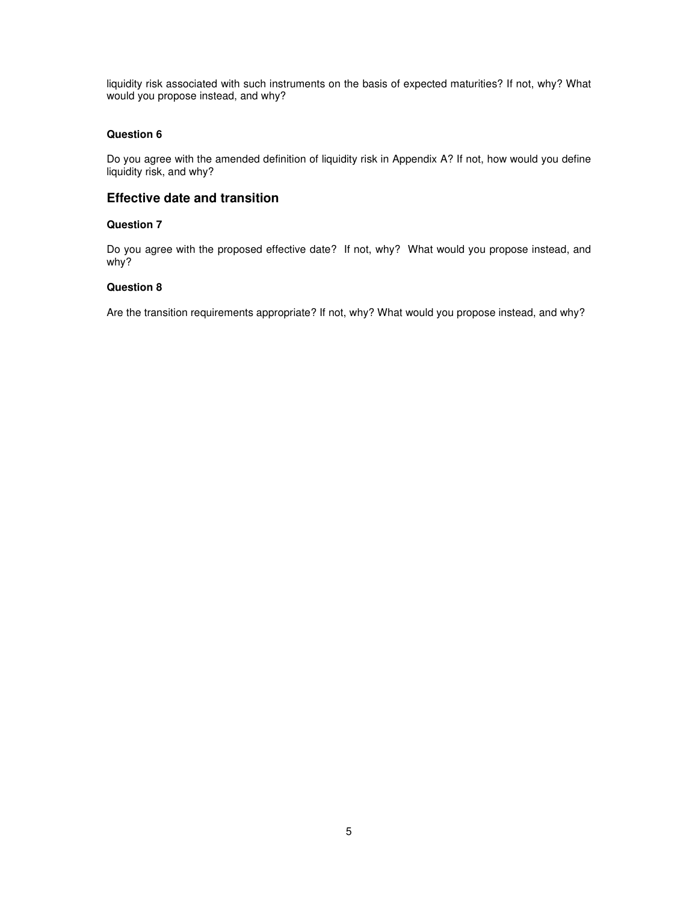liquidity risk associated with such instruments on the basis of expected maturities? If not, why? What would you propose instead, and why?

## **Question 6**

Do you agree with the amended definition of liquidity risk in Appendix A? If not, how would you define liquidity risk, and why?

## **Effective date and transition**

### **Question 7**

Do you agree with the proposed effective date? If not, why? What would you propose instead, and why?

## **Question 8**

Are the transition requirements appropriate? If not, why? What would you propose instead, and why?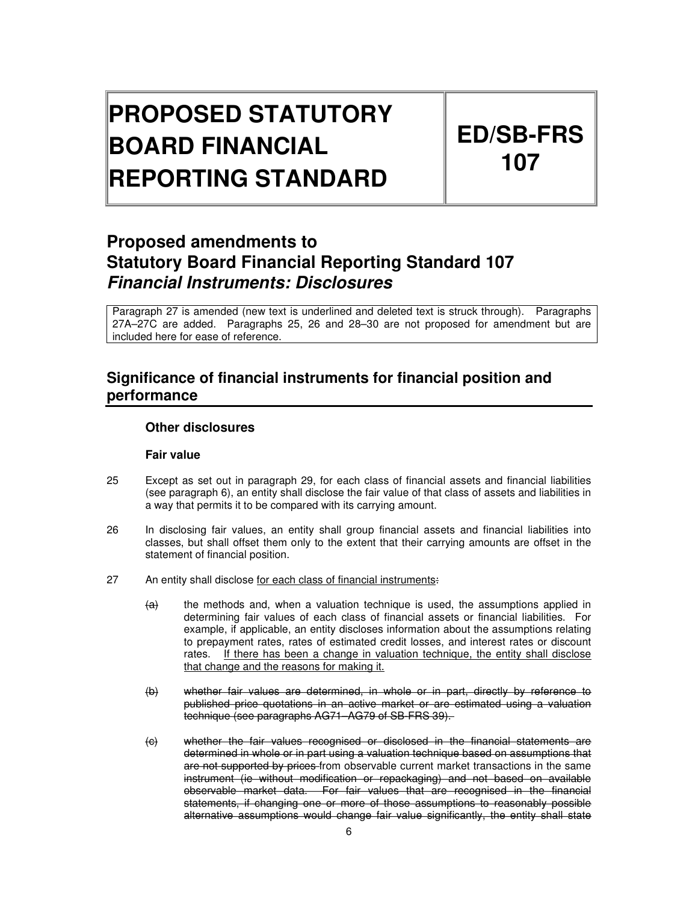# **PROPOSED STATUTORY BOARD FINANCIAL REPORTING STANDARD**

# **ED/SB-FRS 107**

# **Proposed amendments to Statutory Board Financial Reporting Standard 107 Financial Instruments: Disclosures**

Paragraph 27 is amended (new text is underlined and deleted text is struck through). Paragraphs 27A–27C are added. Paragraphs 25, 26 and 28–30 are not proposed for amendment but are included here for ease of reference.

# **Significance of financial instruments for financial position and performance**

# **Other disclosures**

## **Fair value**

- 25 Except as set out in paragraph 29, for each class of financial assets and financial liabilities (see paragraph 6), an entity shall disclose the fair value of that class of assets and liabilities in a way that permits it to be compared with its carrying amount.
- 26 In disclosing fair values, an entity shall group financial assets and financial liabilities into classes, but shall offset them only to the extent that their carrying amounts are offset in the statement of financial position.
- 27 An entity shall disclose for each class of financial instruments:
	- $\overline{a}$  the methods and, when a valuation technique is used, the assumptions applied in determining fair values of each class of financial assets or financial liabilities. For example, if applicable, an entity discloses information about the assumptions relating to prepayment rates, rates of estimated credit losses, and interest rates or discount rates. If there has been a change in valuation technique, the entity shall disclose that change and the reasons for making it.
	- (b) whether fair values are determined, in whole or in part, directly by reference to published price quotations in an active market or are estimated using a valuation technique (see paragraphs AG71–AG79 of SB-FRS 39).
	- (c) whether the fair values recognised or disclosed in the financial statements are determined in whole or in part using a valuation technique based on assumptions that are not supported by prices-from observable current market transactions in the same instrument (ie without modification or repackaging) and not based on available observable market data. For fair values that are recognised in the financial statements, if changing one or more of those assumptions to reasonably possible alternative assumptions would change fair value significantly, the entity shall state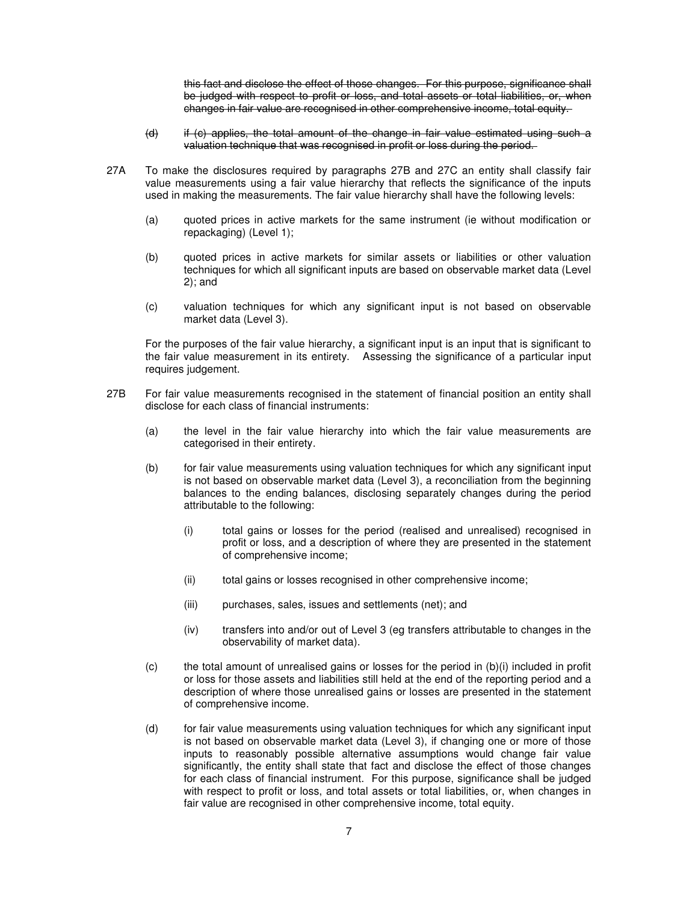this fact and disclose the effect of those changes. For this purpose, significance shall be judged with respect to profit or loss, and total assets or total liabilities, or, when changes in fair value are recognised in other comprehensive income, total equity.

- (d) if (c) applies, the total amount of the change in fair value estimated using such a valuation technique that was recognised in profit or loss during the period.
- 27A To make the disclosures required by paragraphs 27B and 27C an entity shall classify fair value measurements using a fair value hierarchy that reflects the significance of the inputs used in making the measurements. The fair value hierarchy shall have the following levels:
	- (a) quoted prices in active markets for the same instrument (ie without modification or repackaging) (Level 1);
	- (b) quoted prices in active markets for similar assets or liabilities or other valuation techniques for which all significant inputs are based on observable market data (Level 2); and
	- (c) valuation techniques for which any significant input is not based on observable market data (Level 3).

For the purposes of the fair value hierarchy, a significant input is an input that is significant to the fair value measurement in its entirety. Assessing the significance of a particular input requires judgement.

- 27B For fair value measurements recognised in the statement of financial position an entity shall disclose for each class of financial instruments:
	- (a) the level in the fair value hierarchy into which the fair value measurements are categorised in their entirety.
	- (b) for fair value measurements using valuation techniques for which any significant input is not based on observable market data (Level 3), a reconciliation from the beginning balances to the ending balances, disclosing separately changes during the period attributable to the following:
		- (i) total gains or losses for the period (realised and unrealised) recognised in profit or loss, and a description of where they are presented in the statement of comprehensive income;
		- (ii) total gains or losses recognised in other comprehensive income;
		- (iii) purchases, sales, issues and settlements (net); and
		- (iv) transfers into and/or out of Level 3 (eg transfers attributable to changes in the observability of market data).
	- $(c)$  the total amount of unrealised gains or losses for the period in  $(b)(i)$  included in profit or loss for those assets and liabilities still held at the end of the reporting period and a description of where those unrealised gains or losses are presented in the statement of comprehensive income.
	- (d) for fair value measurements using valuation techniques for which any significant input is not based on observable market data (Level 3), if changing one or more of those inputs to reasonably possible alternative assumptions would change fair value significantly, the entity shall state that fact and disclose the effect of those changes for each class of financial instrument. For this purpose, significance shall be judged with respect to profit or loss, and total assets or total liabilities, or, when changes in fair value are recognised in other comprehensive income, total equity.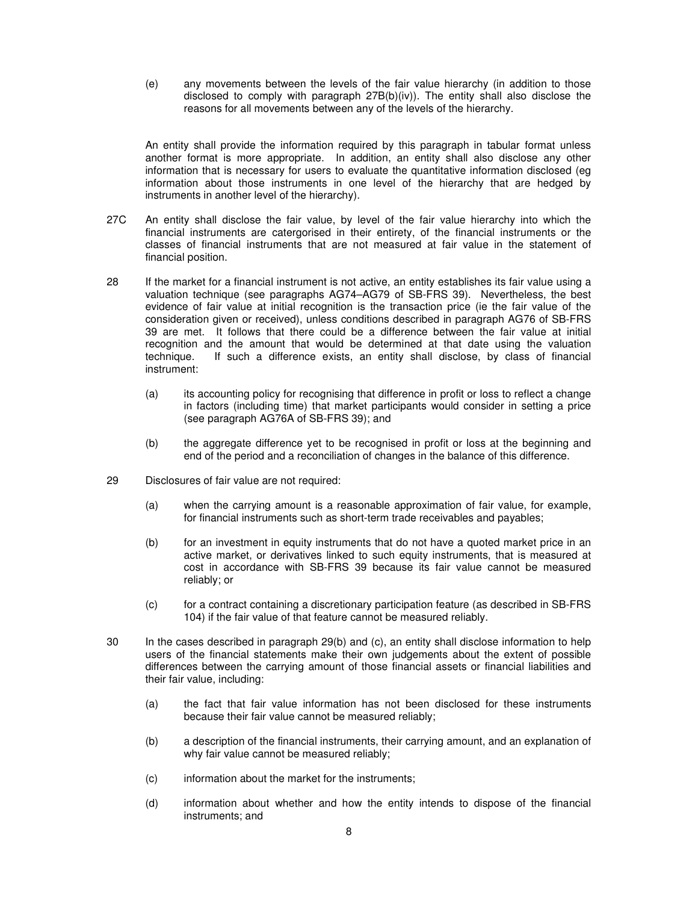(e) any movements between the levels of the fair value hierarchy (in addition to those disclosed to comply with paragraph  $27B(b)(iv)$ . The entity shall also disclose the reasons for all movements between any of the levels of the hierarchy.

An entity shall provide the information required by this paragraph in tabular format unless another format is more appropriate. In addition, an entity shall also disclose any other information that is necessary for users to evaluate the quantitative information disclosed (eg information about those instruments in one level of the hierarchy that are hedged by instruments in another level of the hierarchy).

- 27C An entity shall disclose the fair value, by level of the fair value hierarchy into which the financial instruments are catergorised in their entirety, of the financial instruments or the classes of financial instruments that are not measured at fair value in the statement of financial position.
- 28 If the market for a financial instrument is not active, an entity establishes its fair value using a valuation technique (see paragraphs AG74–AG79 of SB-FRS 39). Nevertheless, the best evidence of fair value at initial recognition is the transaction price (ie the fair value of the consideration given or received), unless conditions described in paragraph AG76 of SB-FRS 39 are met. It follows that there could be a difference between the fair value at initial recognition and the amount that would be determined at that date using the valuation technique. If such a difference exists, an entity shall disclose, by class of financial If such a difference exists, an entity shall disclose, by class of financial instrument:
	- (a) its accounting policy for recognising that difference in profit or loss to reflect a change in factors (including time) that market participants would consider in setting a price (see paragraph AG76A of SB-FRS 39); and
	- (b) the aggregate difference yet to be recognised in profit or loss at the beginning and end of the period and a reconciliation of changes in the balance of this difference.
- 29 Disclosures of fair value are not required:
	- (a) when the carrying amount is a reasonable approximation of fair value, for example, for financial instruments such as short-term trade receivables and payables;
	- (b) for an investment in equity instruments that do not have a quoted market price in an active market, or derivatives linked to such equity instruments, that is measured at cost in accordance with SB-FRS 39 because its fair value cannot be measured reliably; or
	- (c) for a contract containing a discretionary participation feature (as described in SB-FRS 104) if the fair value of that feature cannot be measured reliably.
- 30 In the cases described in paragraph 29(b) and (c), an entity shall disclose information to help users of the financial statements make their own judgements about the extent of possible differences between the carrying amount of those financial assets or financial liabilities and their fair value, including:
	- (a) the fact that fair value information has not been disclosed for these instruments because their fair value cannot be measured reliably;
	- (b) a description of the financial instruments, their carrying amount, and an explanation of why fair value cannot be measured reliably;
	- (c) information about the market for the instruments;
	- (d) information about whether and how the entity intends to dispose of the financial instruments; and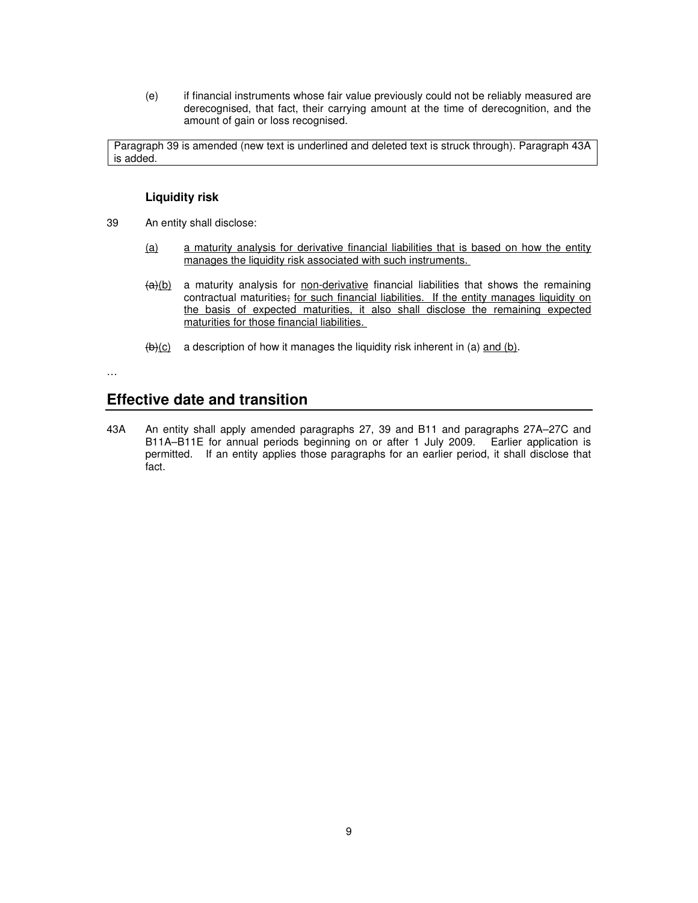(e) if financial instruments whose fair value previously could not be reliably measured are derecognised, that fact, their carrying amount at the time of derecognition, and the amount of gain or loss recognised.

Paragraph 39 is amended (new text is underlined and deleted text is struck through). Paragraph 43A is added.

## **Liquidity risk**

- 39 An entity shall disclose:
	- (a) a maturity analysis for derivative financial liabilities that is based on how the entity manages the liquidity risk associated with such instruments.
	- $\frac{a}{b}$  a maturity analysis for non-derivative financial liabilities that shows the remaining contractual maturities; for such financial liabilities. If the entity manages liquidity on the basis of expected maturities, it also shall disclose the remaining expected maturities for those financial liabilities.
	- $(b)(c)$  a description of how it manages the liquidity risk inherent in (a) and (b).

…

# **Effective date and transition**

43A An entity shall apply amended paragraphs 27, 39 and B11 and paragraphs 27A–27C and B11A–B11E for annual periods beginning on or after 1 July 2009. Earlier application is permitted. If an entity applies those paragraphs for an earlier period, it shall disclose that fact.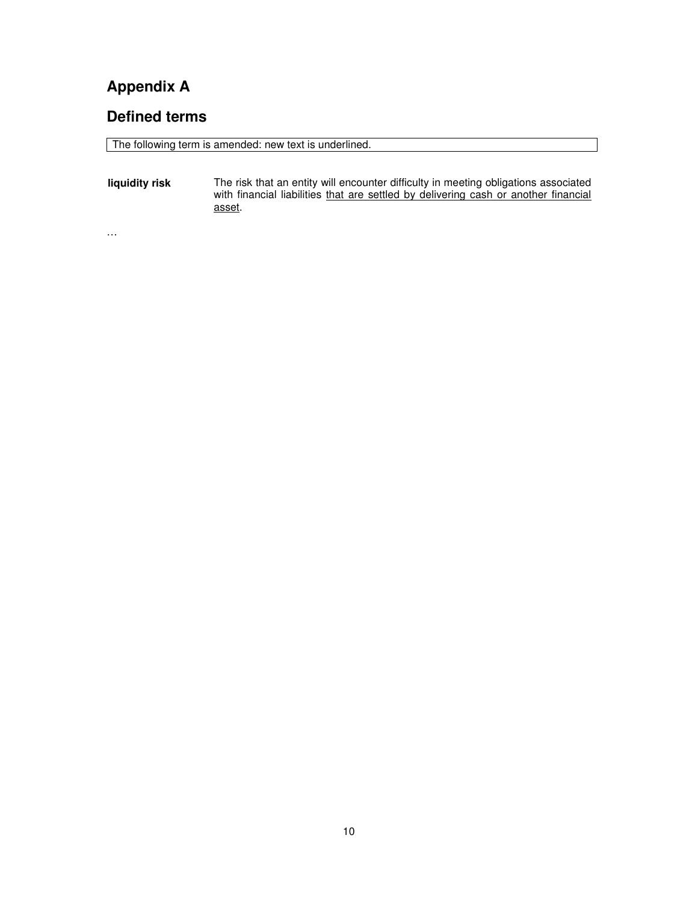# **Appendix A**

…

# **Defined terms**

The following term is amended: new text is underlined.

**liquidity risk** The risk that an entity will encounter difficulty in meeting obligations associated with financial liabilities that are settled by delivering cash or another financial asset.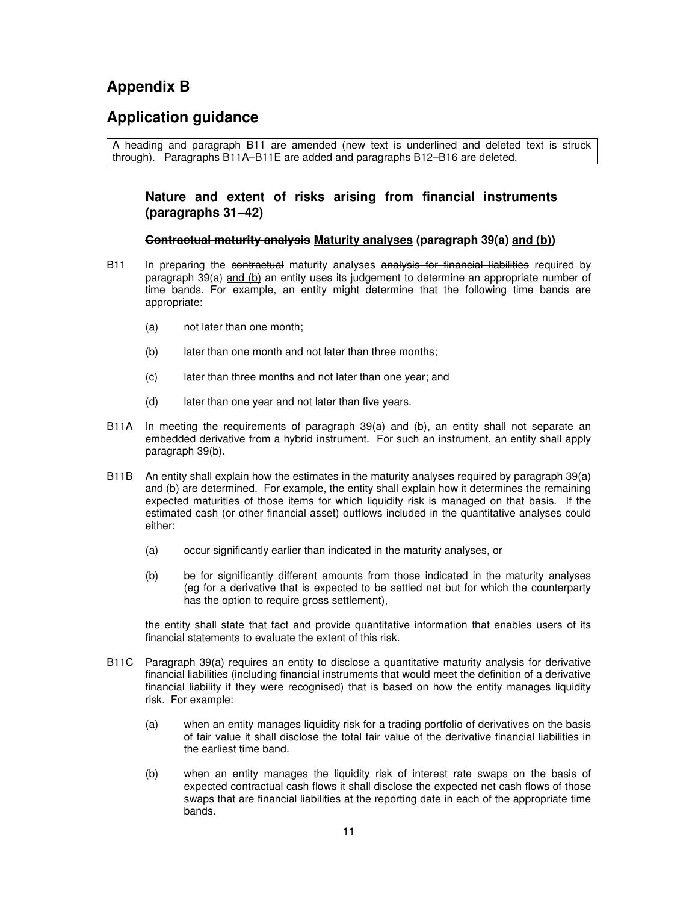# **Appendix B**

# **Application guidance**

A heading and paragraph B11 are amended (new text is underlined and deleted text is struck through). Paragraphs B11A–B11E are added and paragraphs B12–B16 are deleted.

## **Nature and extent of risks arising from financial instruments (paragraphs 31–42)**

## **Contractual maturity analysis Maturity analyses (paragraph 39(a) and (b))**

- B11 In preparing the contractual maturity analyses analysis for financial liabilities required by paragraph 39(a) and (b) an entity uses its judgement to determine an appropriate number of time bands. For example, an entity might determine that the following time bands are appropriate:
	- (a) not later than one month;
	- (b) later than one month and not later than three months;
	- (c) later than three months and not later than one year; and
	- (d) later than one year and not later than five years.
- B11A In meeting the requirements of paragraph 39(a) and (b), an entity shall not separate an embedded derivative from a hybrid instrument. For such an instrument, an entity shall apply paragraph 39(b).
- B11B An entity shall explain how the estimates in the maturity analyses required by paragraph 39(a) and (b) are determined. For example, the entity shall explain how it determines the remaining expected maturities of those items for which liquidity risk is managed on that basis. If the estimated cash (or other financial asset) outflows included in the quantitative analyses could either:
	- (a) occur significantly earlier than indicated in the maturity analyses, or
	- (b) be for significantly different amounts from those indicated in the maturity analyses (eg for a derivative that is expected to be settled net but for which the counterparty has the option to require gross settlement),

the entity shall state that fact and provide quantitative information that enables users of its financial statements to evaluate the extent of this risk.

- B11C Paragraph 39(a) requires an entity to disclose a quantitative maturity analysis for derivative financial liabilities (including financial instruments that would meet the definition of a derivative financial liability if they were recognised) that is based on how the entity manages liquidity risk. For example:
	- (a) when an entity manages liquidity risk for a trading portfolio of derivatives on the basis of fair value it shall disclose the total fair value of the derivative financial liabilities in the earliest time band.
	- (b) when an entity manages the liquidity risk of interest rate swaps on the basis of expected contractual cash flows it shall disclose the expected net cash flows of those swaps that are financial liabilities at the reporting date in each of the appropriate time bands.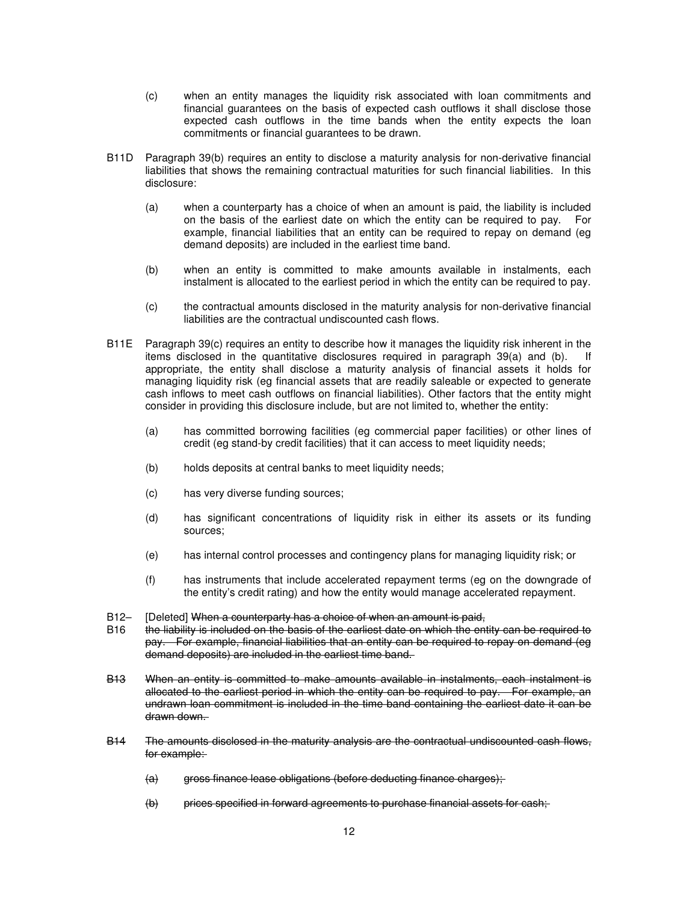- (c) when an entity manages the liquidity risk associated with loan commitments and financial guarantees on the basis of expected cash outflows it shall disclose those expected cash outflows in the time bands when the entity expects the loan commitments or financial guarantees to be drawn.
- B11D Paragraph 39(b) requires an entity to disclose a maturity analysis for non-derivative financial liabilities that shows the remaining contractual maturities for such financial liabilities. In this disclosure:
	- (a) when a counterparty has a choice of when an amount is paid, the liability is included on the basis of the earliest date on which the entity can be required to pay. For example, financial liabilities that an entity can be required to repay on demand (eg demand deposits) are included in the earliest time band.
	- (b) when an entity is committed to make amounts available in instalments, each instalment is allocated to the earliest period in which the entity can be required to pay.
	- (c) the contractual amounts disclosed in the maturity analysis for non-derivative financial liabilities are the contractual undiscounted cash flows.
- B11E Paragraph 39(c) requires an entity to describe how it manages the liquidity risk inherent in the items disclosed in the quantitative disclosures required in paragraph 39(a) and (b). If appropriate, the entity shall disclose a maturity analysis of financial assets it holds for managing liquidity risk (eg financial assets that are readily saleable or expected to generate cash inflows to meet cash outflows on financial liabilities). Other factors that the entity might consider in providing this disclosure include, but are not limited to, whether the entity:
	- (a) has committed borrowing facilities (eg commercial paper facilities) or other lines of credit (eg stand-by credit facilities) that it can access to meet liquidity needs;
	- (b) holds deposits at central banks to meet liquidity needs;
	- (c) has very diverse funding sources;
	- (d) has significant concentrations of liquidity risk in either its assets or its funding sources;
	- (e) has internal control processes and contingency plans for managing liquidity risk; or
	- (f) has instruments that include accelerated repayment terms (eg on the downgrade of the entity's credit rating) and how the entity would manage accelerated repayment.
- B12– [Deleted] When a counterparty has a choice of when an amount is paid,
- B16 the liability is included on the basis of the earliest date on which the entity can be required to pay. For example, financial liabilities that an entity can be required to repay on demand (eg demand deposits) are included in the earliest time band.
- B13 When an entity is committed to make amounts available in instalments, each instalment is allocated to the earliest period in which the entity can be required to pay. For example, an undrawn loan commitment is included in the time band containing the earliest date it can be drawn down.
- B14 The amounts disclosed in the maturity analysis are the contractual undiscounted cash flows, for example:
	- (a) gross finance lease obligations (before deducting finance charges);
	- (b) prices specified in forward agreements to purchase financial assets for cash;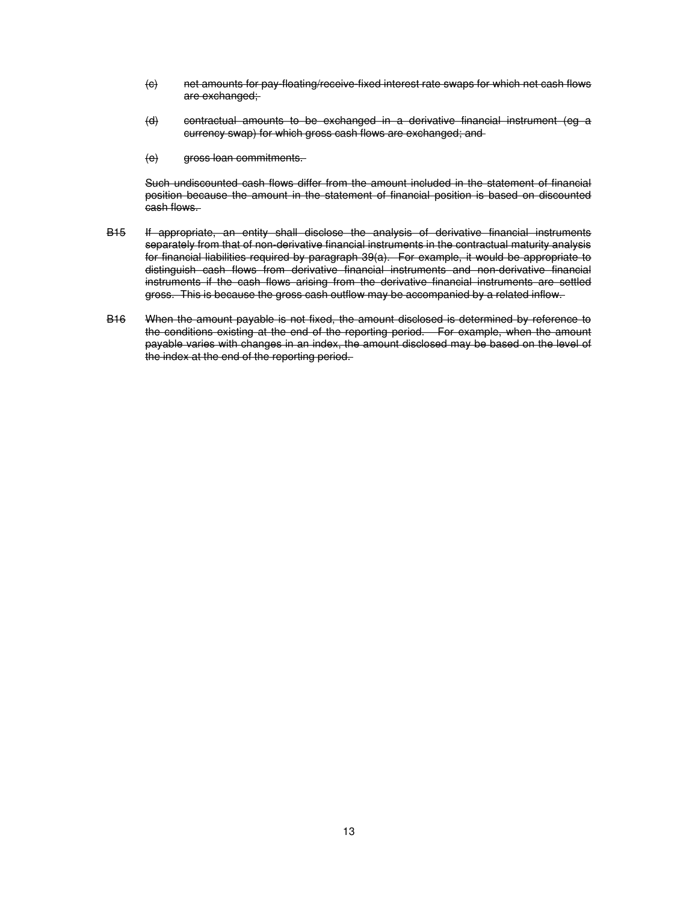- (c) net amounts for pay-floating/receive-fixed interest rate swaps for which net cash flows are exchanged;
- (d) contractual amounts to be exchanged in a derivative financial instrument (eg a currency swap) for which gross cash flows are exchanged; and
- (e) gross loan commitments.

Such undiscounted cash flows differ from the amount included in the statement of financial position because the amount in the statement of financial position is based on discounted cash flows.

- B15 If appropriate, an entity shall disclose the analysis of derivative financial instruments separately from that of non-derivative financial instruments in the contractual maturity analysis for financial liabilities required by paragraph 39(a). For example, it would be appropriate to distinguish cash flows from derivative financial instruments and non-derivative financial instruments if the cash flows arising from the derivative financial instruments are settled gross. This is because the gross cash outflow may be accompanied by a related inflow.
- B16 When the amount payable is not fixed, the amount disclosed is determined by reference to the conditions existing at the end of the reporting period. For example, when the amount payable varies with changes in an index, the amount disclosed may be based on the level of the index at the end of the reporting period.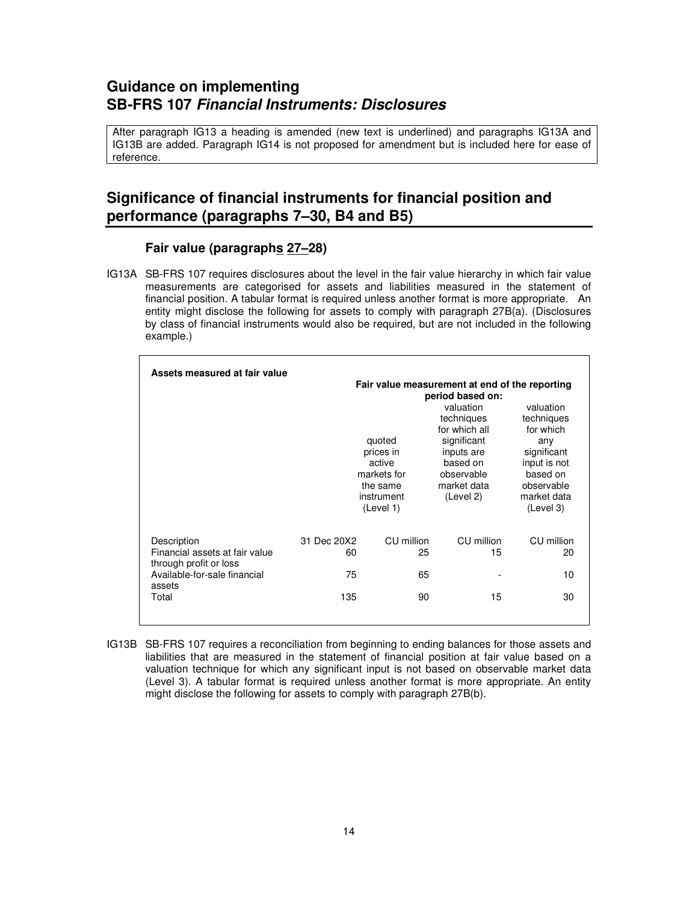# **Guidance on implementing SB-FRS 107 Financial Instruments: Disclosures**

After paragraph IG13 a heading is amended (new text is underlined) and paragraphs IG13A and IG13B are added. Paragraph IG14 is not proposed for amendment but is included here for ease of reference.

# **Significance of financial instruments for financial position and performance (paragraphs 7–30, B4 and B5)**

# **Fair value (paragraphs 27–28)**

IG13A SB-FRS 107 requires disclosures about the level in the fair value hierarchy in which fair value measurements are categorised for assets and liabilities measured in the statement of financial position. A tabular format is required unless another format is more appropriate. An entity might disclose the following for assets to comply with paragraph 27B(a). (Disclosures by class of financial instruments would also be required, but are not included in the following example.)

| Assets measured at fair value                                           |                   | quoted<br>prices in<br>active<br>markets for<br>the same<br>instrument<br>(Level 1) | Fair value measurement at end of the reporting<br>period based on:<br>valuation<br>techniques<br>for which all<br>significant<br>inputs are<br>based on<br>observable<br>market data<br>(Level 2) | valuation<br>techniques<br>for which<br>any<br>significant<br>input is not<br>based on<br>observable<br>market data<br>(Level 3) |
|-------------------------------------------------------------------------|-------------------|-------------------------------------------------------------------------------------|---------------------------------------------------------------------------------------------------------------------------------------------------------------------------------------------------|----------------------------------------------------------------------------------------------------------------------------------|
| Description<br>Financial assets at fair value<br>through profit or loss | 31 Dec 20X2<br>60 | CU million<br>25                                                                    | CU million<br>15                                                                                                                                                                                  | CU million<br>20                                                                                                                 |
| Available-for-sale financial                                            | 75                | 65                                                                                  |                                                                                                                                                                                                   | 10                                                                                                                               |
| assets<br>Total                                                         | 135               | 90                                                                                  | 15                                                                                                                                                                                                | 30                                                                                                                               |

IG13B SB-FRS 107 requires a reconciliation from beginning to ending balances for those assets and liabilities that are measured in the statement of financial position at fair value based on a valuation technique for which any significant input is not based on observable market data (Level 3). A tabular format is required unless another format is more appropriate. An entity might disclose the following for assets to comply with paragraph 27B(b).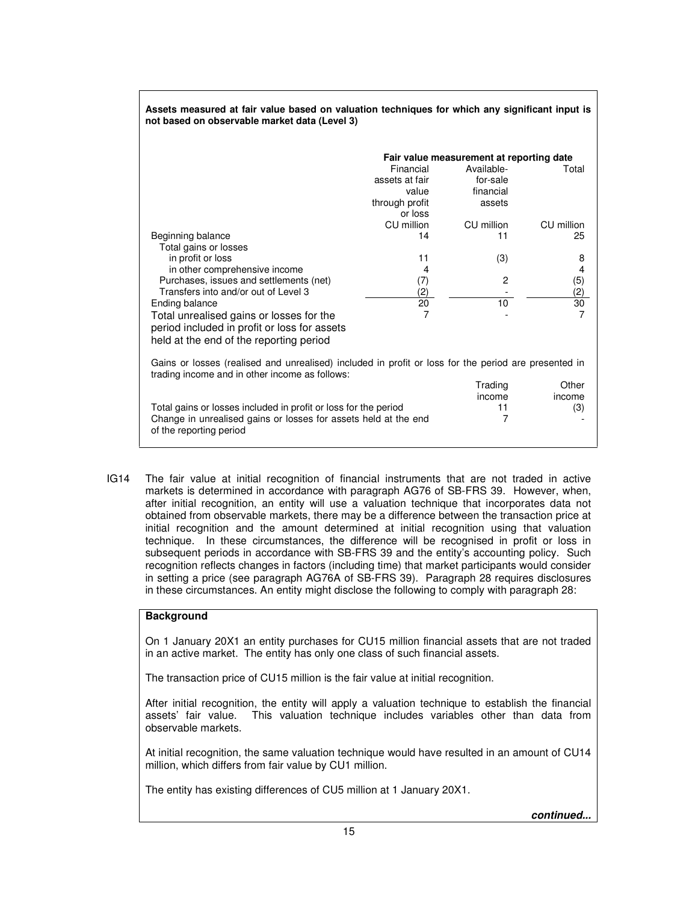| ASSEIS MEASURU ATTAII VAIUE DASEU ON VAIUANON IECHINGUES TOI WINCH ANY SIGNINGANI MIDULIS<br>not based on observable market data (Level 3)             |                                          |                        |            |  |  |
|--------------------------------------------------------------------------------------------------------------------------------------------------------|------------------------------------------|------------------------|------------|--|--|
|                                                                                                                                                        | Fair value measurement at reporting date |                        |            |  |  |
|                                                                                                                                                        | Financial<br>assets at fair              | Available-<br>for-sale | Total      |  |  |
|                                                                                                                                                        | value                                    | financial              |            |  |  |
|                                                                                                                                                        | through profit                           | assets                 |            |  |  |
|                                                                                                                                                        | or loss                                  |                        |            |  |  |
|                                                                                                                                                        | CU million                               | CU million             | CU million |  |  |
| Beginning balance                                                                                                                                      | 14                                       | 11                     | 25         |  |  |
| Total gains or losses                                                                                                                                  | 11                                       |                        |            |  |  |
| in profit or loss<br>in other comprehensive income                                                                                                     | 4                                        | (3)                    | 8<br>4     |  |  |
| Purchases, issues and settlements (net)                                                                                                                | (7)                                      | 2                      | (5)        |  |  |
| Transfers into and/or out of Level 3                                                                                                                   | (2)                                      |                        | (2)        |  |  |
| Ending balance                                                                                                                                         | 20                                       | 10                     | 30         |  |  |
| Total unrealised gains or losses for the                                                                                                               | 7                                        |                        | 7          |  |  |
| period included in profit or loss for assets                                                                                                           |                                          |                        |            |  |  |
| held at the end of the reporting period                                                                                                                |                                          |                        |            |  |  |
|                                                                                                                                                        |                                          |                        |            |  |  |
| Gains or losses (realised and unrealised) included in profit or loss for the period are presented in<br>trading income and in other income as follows: |                                          |                        |            |  |  |
|                                                                                                                                                        |                                          | Trading                | Other      |  |  |
|                                                                                                                                                        |                                          | income                 | income     |  |  |
| Total gains or losses included in profit or loss for the period                                                                                        |                                          | 11                     | (3)        |  |  |
| Change in unrealised gains or losses for assets held at the end<br>of the reporting period                                                             |                                          | 7                      |            |  |  |

**Assets measured at fair value based on valuation techniques for which any significant input is** 

IG14 The fair value at initial recognition of financial instruments that are not traded in active markets is determined in accordance with paragraph AG76 of SB-FRS 39. However, when, after initial recognition, an entity will use a valuation technique that incorporates data not obtained from observable markets, there may be a difference between the transaction price at initial recognition and the amount determined at initial recognition using that valuation technique. In these circumstances, the difference will be recognised in profit or loss in subsequent periods in accordance with SB-FRS 39 and the entity's accounting policy. Such recognition reflects changes in factors (including time) that market participants would consider in setting a price (see paragraph AG76A of SB-FRS 39). Paragraph 28 requires disclosures in these circumstances. An entity might disclose the following to comply with paragraph 28:

## **Background**

On 1 January 20X1 an entity purchases for CU15 million financial assets that are not traded in an active market. The entity has only one class of such financial assets.

The transaction price of CU15 million is the fair value at initial recognition.

After initial recognition, the entity will apply a valuation technique to establish the financial assets' fair value. This valuation technique includes variables other than data from observable markets.

At initial recognition, the same valuation technique would have resulted in an amount of CU14 million, which differs from fair value by CU1 million.

The entity has existing differences of CU5 million at 1 January 20X1.

**continued...**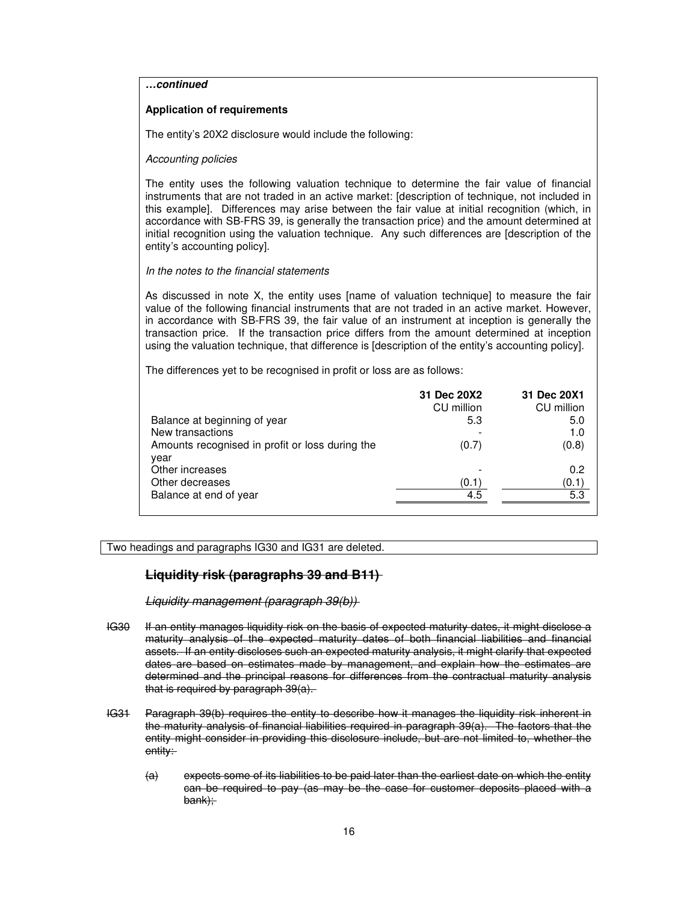**…continued** 

#### **Application of requirements**

The entity's 20X2 disclosure would include the following:

#### Accounting policies

The entity uses the following valuation technique to determine the fair value of financial instruments that are not traded in an active market: [description of technique, not included in this example]. Differences may arise between the fair value at initial recognition (which, in accordance with SB-FRS 39, is generally the transaction price) and the amount determined at initial recognition using the valuation technique. Any such differences are [description of the entity's accounting policy].

#### In the notes to the financial statements

As discussed in note X, the entity uses [name of valuation technique] to measure the fair value of the following financial instruments that are not traded in an active market. However, in accordance with SB-FRS 39, the fair value of an instrument at inception is generally the transaction price. If the transaction price differs from the amount determined at inception using the valuation technique, that difference is [description of the entity's accounting policy].

The differences yet to be recognised in profit or loss are as follows:

|                                                         | 31 Dec 20X2 | 31 Dec 20X1 |
|---------------------------------------------------------|-------------|-------------|
|                                                         | CU million  | CU million  |
| Balance at beginning of year                            | 5.3         | 5.0         |
| New transactions                                        |             | 1.0         |
| Amounts recognised in profit or loss during the<br>year | (0.7)       | (0.8)       |
| Other increases                                         |             | 0.2         |
| Other decreases                                         | (0.1)       | (0.1)       |
| Balance at end of year                                  | 4.5         | 5.3         |

Two headings and paragraphs IG30 and IG31 are deleted.

## **Liquidity risk (paragraphs 39 and B11)**

Liquidity management (paragraph 39(b))

- IG30 If an entity manages liquidity risk on the basis of expected maturity dates, it might disclose a maturity analysis of the expected maturity dates of both financial liabilities and financial assets. If an entity discloses such an expected maturity analysis, it might clarify that expected dates are based on estimates made by management, and explain how the estimates are determined and the principal reasons for differences from the contractual maturity analysis that is required by paragraph 39(a).
- IG31 Paragraph 39(b) requires the entity to describe how it manages the liquidity risk inherent in the maturity analysis of financial liabilities required in paragraph 39(a). The factors that the entity might consider in providing this disclosure include, but are not limited to, whether the entity:
	- (a) expects some of its liabilities to be paid later than the earliest date on which the entity can be required to pay (as may be the case for customer deposits placed with a bank);